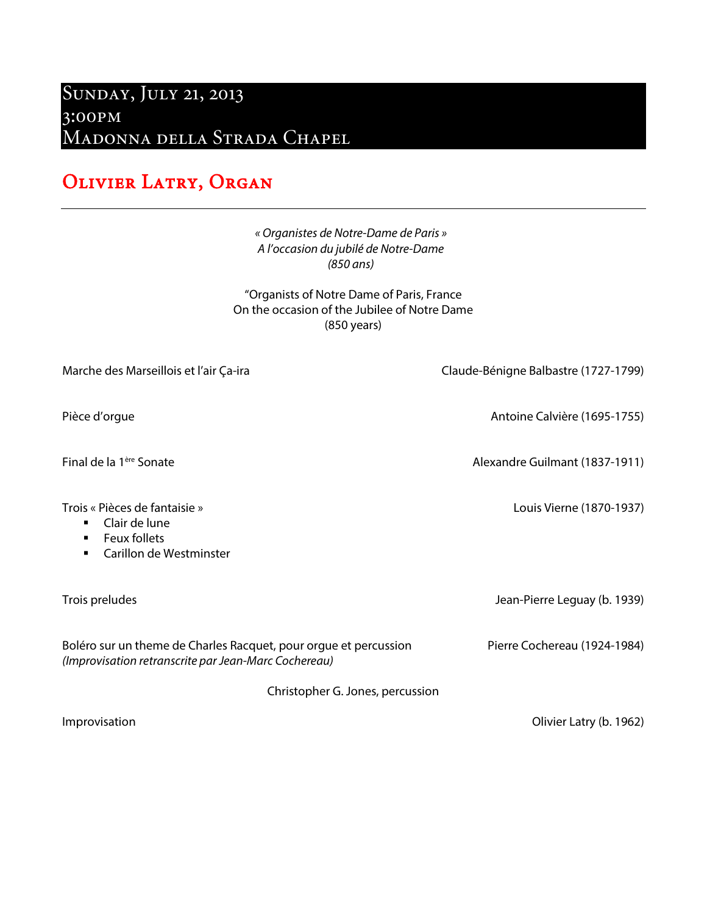## Sunday, July 21, 2013 3:00pm MADONNA DELLA STRADA CHAPEL

## OLIVIER LATRY, ORGAN

## *« Organistes de Notre-Dame de Paris » A l'occasion du jubilé de Notre-Dame (850 ans)*

"Organists of Notre Dame of Paris, France On the occasion of the Jubilee of Notre Dame (850 years)

| Marche des Marseillois et l'air Ça-ira                                                                                               | Claude-Bénigne Balbastre (1727-1799) |
|--------------------------------------------------------------------------------------------------------------------------------------|--------------------------------------|
| Pièce d'orgue                                                                                                                        | Antoine Calvière (1695-1755)         |
| Final de la 1 <sup>ère</sup> Sonate                                                                                                  | Alexandre Guilmant (1837-1911)       |
| Trois « Pièces de fantaisie »<br>Clair de lune<br>$\blacksquare$<br><b>Feux follets</b><br>$\blacksquare$<br>Carillon de Westminster | Louis Vierne (1870-1937)             |
| Trois preludes                                                                                                                       | Jean-Pierre Leguay (b. 1939)         |
| Boléro sur un theme de Charles Racquet, pour orgue et percussion<br>(Improvisation retranscrite par Jean-Marc Cochereau)             | Pierre Cochereau (1924-1984)         |
| Christopher G. Jones, percussion                                                                                                     |                                      |
| Improvisation                                                                                                                        | Olivier Latry (b. 1962)              |